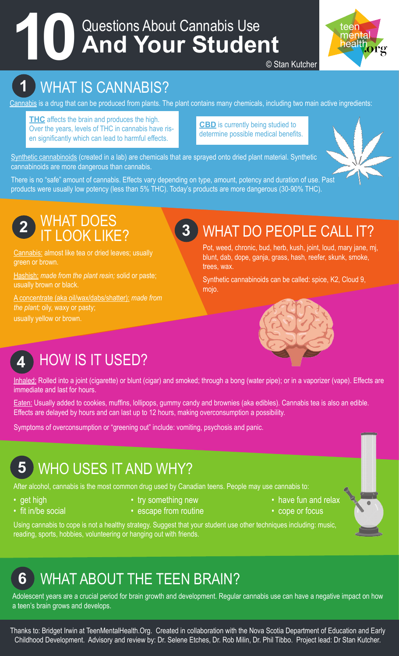# Questions About Cannabis Use **10 And Your Student**



© Stan Kutcher

## **1** WHAT IS CANNABIS?

Cannabis is a drug that can be produced from plants. The plant contains many chemicals, including two main active ingredients:

**THC** affects the brain and produces the high. Over the years, levels of THC in cannabis have risen significantly which can lead to harmful effects.

**CBD** is currently being studied to determine possible medical benefits.

Synthetic cannabinoids (created in a lab) are chemicals that are sprayed onto dried plant material. Synthetic cannabinoids are more dangerous than cannabis.

There is no "safe" amount of cannabis. Effects vary depending on type, amount, potency and duration of use. Past products were usually low potency (less than 5% THC). Today's products are more dangerous (30-90% THC).



#### **2** WHAT DOES IT LOOK LIKE?

Cannabis: almost like tea or dried leaves; usually green or brown.

Hashish: *made from the plant resin;* solid or paste; usually brown or black.

A concentrate (aka oil/wax/dabs/shatter): *made from the plant;* oily, waxy or pasty; usually yellow or brown.

## **3** WHAT DO PEOPLE CALL IT?

Pot, weed, chronic, bud, herb, kush, joint, loud, mary jane, mj, blunt, dab, dope, ganja, grass, hash, reefer, skunk, smoke, trees, wax.

Synthetic cannabinoids can be called: spice, K2, Cloud 9, mojo.



## **4** HOW IS IT USED?

Inhaled: Rolled into a joint (cigarette) or blunt (cigar) and smoked; through a bong (water pipe); or in a vaporizer (vape). Effects are immediate and last for hours.

Eaten: Usually added to cookies, muffins, lollipops, gummy candy and brownies (aka edibles). Cannabis tea is also an edible. Effects are delayed by hours and can last up to 12 hours, making overconsumption a possibility.

Symptoms of overconsumption or "greening out" include: vomiting, psychosis and panic.

## **5** WHO USES IT AND WHY?

After alcohol, cannabis is the most common drug used by Canadian teens. People may use cannabis to:

- 
- 
- 
- fit in/be social escape from routine  $\bullet$  cope or focus
- get high try something new the example of the have fun and relax
	-

Using cannabis to cope is not a healthy strategy. Suggest that your student use other techniques including: music, reading, sports, hobbies, volunteering or hanging out with friends.

## **6** WHAT ABOUT THE TEEN BRAIN?

Adolescent years are a crucial period for brain growth and development. Regular cannabis use can have a negative impact on how a teen's brain grows and develops.

Thanks to: Bridget Irwin at TeenMentalHealth.Org. Created in collaboration with the Nova Scotia Department of Education and Early Childhood Development. Advisory and review by: Dr. Selene Etches, Dr. Rob Milin, Dr. Phil Tibbo. Project lead: Dr Stan Kutcher.